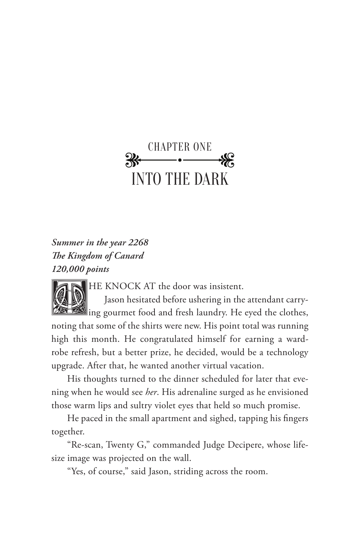## CHAPTER ONE INTO THE DARK

*Summer in the year 2268 The Kingdom of Canard 120,000 points*

HE KNOCK AT the door was insistent.

Jason hesitated before ushering in the attendant carrying gourmet food and fresh laundry. He eyed the clothes, noting that some of the shirts were new. His point total was running high this month. He congratulated himself for earning a wardrobe refresh, but a better prize, he decided, would be a technology upgrade. After that, he wanted another virtual vacation.

His thoughts turned to the dinner scheduled for later that evening when he would see *her*. His adrenaline surged as he envisioned those warm lips and sultry violet eyes that held so much promise.

He paced in the small apartment and sighed, tapping his fingers together.

"Re-scan, Twenty G," commanded Judge Decipere, whose lifesize image was projected on the wall.

"Yes, of course," said Jason, striding across the room.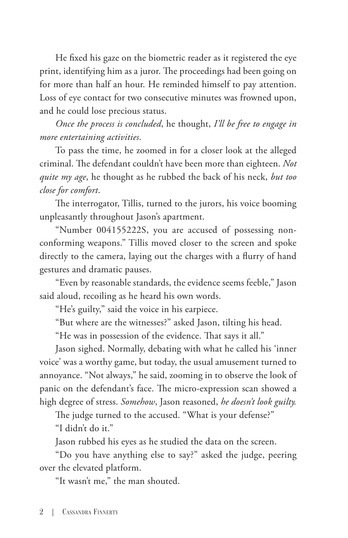He fixed his gaze on the biometric reader as it registered the eye print, identifying him as a juror. The proceedings had been going on for more than half an hour. He reminded himself to pay attention. Loss of eye contact for two consecutive minutes was frowned upon, and he could lose precious status.

*Once the process is concluded*, he thought, *I'll be free to engage in more entertaining activities*.

To pass the time, he zoomed in for a closer look at the alleged criminal. The defendant couldn't have been more than eighteen. *Not quite my age*, he thought as he rubbed the back of his neck, *but too close for comfort*.

The interrogator, Tillis, turned to the jurors, his voice booming unpleasantly throughout Jason's apartment.

"Number 004155222S, you are accused of possessing nonconforming weapons." Tillis moved closer to the screen and spoke directly to the camera, laying out the charges with a flurry of hand gestures and dramatic pauses.

"Even by reasonable standards, the evidence seems feeble," Jason said aloud, recoiling as he heard his own words.

"He's guilty," said the voice in his earpiece.

"But where are the witnesses?" asked Jason, tilting his head.

"He was in possession of the evidence. That says it all."

Jason sighed. Normally, debating with what he called his 'inner voice' was a worthy game, but today, the usual amusement turned to annoyance. "Not always," he said, zooming in to observe the look of panic on the defendant's face. The micro-expression scan showed a high degree of stress. *Somehow*, Jason reasoned, *he doesn't look guilty.*

The judge turned to the accused. "What is your defense?" "I didn't do it."

Jason rubbed his eyes as he studied the data on the screen.

"Do you have anything else to say?" asked the judge, peering over the elevated platform.

"It wasn't me," the man shouted.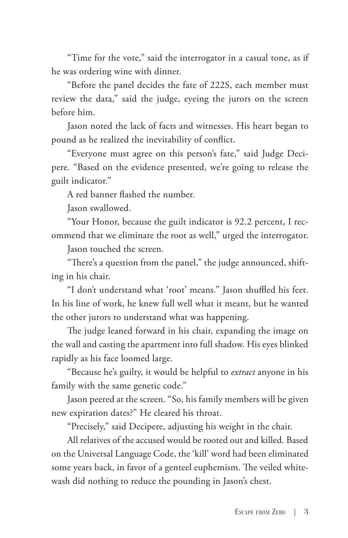"Time for the vote," said the interrogator in a casual tone, as if he was ordering wine with dinner.

"Before the panel decides the fate of 222S, each member must review the data," said the judge, eyeing the jurors on the screen before him.

Jason noted the lack of facts and witnesses. His heart began to pound as he realized the inevitability of conflict.

"Everyone must agree on this person's fate," said Judge Decipere. "Based on the evidence presented, we're going to release the guilt indicator."

A red banner flashed the number.

Jason swallowed.

"Your Honor, because the guilt indicator is 92.2 percent, I recommend that we eliminate the root as well," urged the interrogator.

Jason touched the screen.

"There's a question from the panel," the judge announced, shifting in his chair.

"I don't understand what 'root' means." Jason shuffled his feet. In his line of work, he knew full well what it meant, but he wanted the other jurors to understand what was happening.

The judge leaned forward in his chair, expanding the image on the wall and casting the apartment into full shadow. His eyes blinked rapidly as his face loomed large.

"Because he's guilty, it would be helpful to *extract* anyone in his family with the same genetic code."

Jason peered at the screen. "So, his family members will be given new expiration dates?" He cleared his throat.

"Precisely," said Decipere, adjusting his weight in the chair.

All relatives of the accused would be rooted out and killed. Based on the Universal Language Code, the 'kill' word had been eliminated some years back, in favor of a genteel euphemism. The veiled whitewash did nothing to reduce the pounding in Jason's chest.